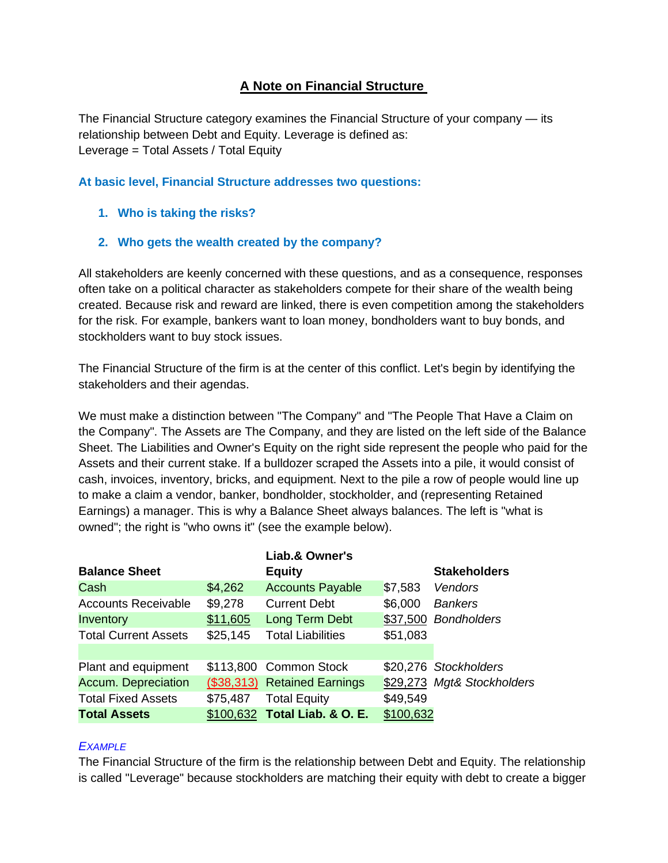## **A Note on Financial Structure**

The Financial Structure category examines the Financial Structure of your company — its relationship between Debt and Equity. Leverage is defined as: Leverage = Total Assets / Total Equity

## **At basic level, Financial Structure addresses two questions:**

- **1. Who is taking the risks?**
- **2. Who gets the wealth created by the company?**

All stakeholders are keenly concerned with these questions, and as a consequence, responses often take on a political character as stakeholders compete for their share of the wealth being created. Because risk and reward are linked, there is even competition among the stakeholders for the risk. For example, bankers want to loan money, bondholders want to buy bonds, and stockholders want to buy stock issues.

The Financial Structure of the firm is at the center of this conflict. Let's begin by identifying the stakeholders and their agendas.

We must make a distinction between "The Company" and "The People That Have a Claim on the Company". The Assets are The Company, and they are listed on the left side of the Balance Sheet. The Liabilities and Owner's Equity on the right side represent the people who paid for the Assets and their current stake. If a bulldozer scraped the Assets into a pile, it would consist of cash, invoices, inventory, bricks, and equipment. Next to the pile a row of people would line up to make a claim a vendor, banker, bondholder, stockholder, and (representing Retained Earnings) a manager. This is why a Balance Sheet always balances. The left is "what is owned"; the right is "who owns it" (see the example below).

|                             |          | Liab.& Owner's                |           |                            |
|-----------------------------|----------|-------------------------------|-----------|----------------------------|
| <b>Balance Sheet</b>        |          | <b>Equity</b>                 |           | <b>Stakeholders</b>        |
| Cash                        | \$4,262  | <b>Accounts Payable</b>       | \$7,583   | Vendors                    |
| <b>Accounts Receivable</b>  | \$9,278  | <b>Current Debt</b>           | \$6,000   | <b>Bankers</b>             |
| Inventory                   | \$11,605 | Long Term Debt                |           | \$37,500 Bondholders       |
| <b>Total Current Assets</b> | \$25,145 | <b>Total Liabilities</b>      | \$51,083  |                            |
|                             |          |                               |           |                            |
| Plant and equipment         |          | \$113,800 Common Stock        |           | \$20,276 Stockholders      |
| <b>Accum. Depreciation</b>  |          | (\$38,313) Retained Earnings  |           | \$29,273 Mgt& Stockholders |
| <b>Total Fixed Assets</b>   | \$75,487 | <b>Total Equity</b>           | \$49,549  |                            |
| <b>Total Assets</b>         |          | \$100,632 Total Liab. & O. E. | \$100,632 |                            |

## *EXAMPLE*

The Financial Structure of the firm is the relationship between Debt and Equity. The relationship is called "Leverage" because stockholders are matching their equity with debt to create a bigger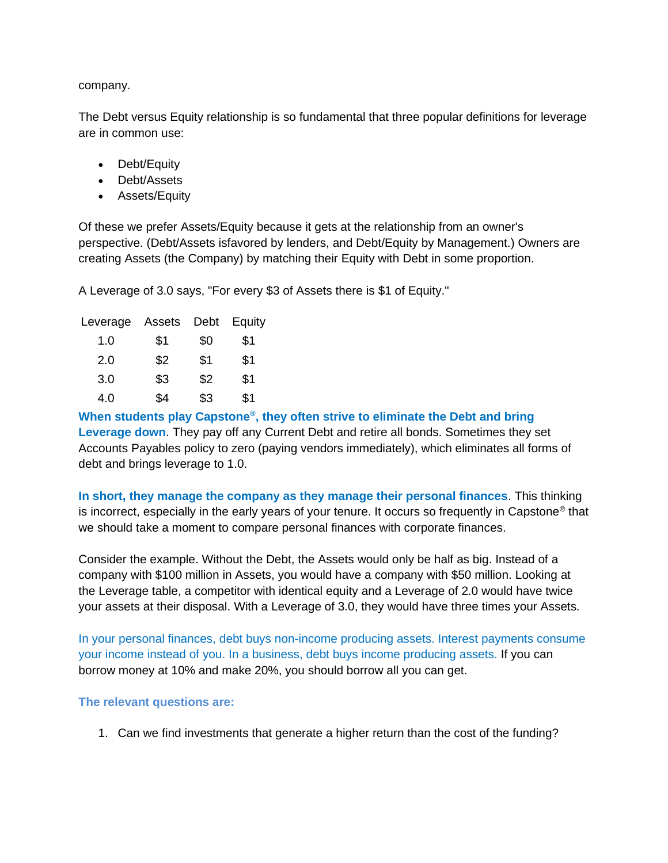company.

The Debt versus Equity relationship is so fundamental that three popular definitions for leverage are in common use:

- Debt/Equity
- Debt/Assets
- Assets/Equity

Of these we prefer Assets/Equity because it gets at the relationship from an owner's perspective. (Debt/Assets isfavored by lenders, and Debt/Equity by Management.) Owners are creating Assets (the Company) by matching their Equity with Debt in some proportion.

A Leverage of 3.0 says, "For every \$3 of Assets there is \$1 of Equity."

| Leverage | Assets | Debt | Equity |
|----------|--------|------|--------|
| 1.0      | \$1    | \$0  | \$1    |
| 2.0      | \$2    | \$1  | \$1    |
| 3.0      | \$3    | \$2  | \$1    |
| 4.0      | \$4    | \$3  | \$1    |

**When students play Capstone® , they often strive to eliminate the Debt and bring Leverage down**. They pay off any Current Debt and retire all bonds. Sometimes they set Accounts Payables policy to zero (paying vendors immediately), which eliminates all forms of debt and brings leverage to 1.0.

**In short, they manage the company as they manage their personal finances**. This thinking is incorrect, especially in the early years of your tenure. It occurs so frequently in Capstone® that we should take a moment to compare personal finances with corporate finances.

Consider the example. Without the Debt, the Assets would only be half as big. Instead of a company with \$100 million in Assets, you would have a company with \$50 million. Looking at the Leverage table, a competitor with identical equity and a Leverage of 2.0 would have twice your assets at their disposal. With a Leverage of 3.0, they would have three times your Assets.

In your personal finances, debt buys non-income producing assets. Interest payments consume your income instead of you. In a business, debt buys income producing assets. If you can borrow money at 10% and make 20%, you should borrow all you can get.

## **The relevant questions are:**

1. Can we find investments that generate a higher return than the cost of the funding?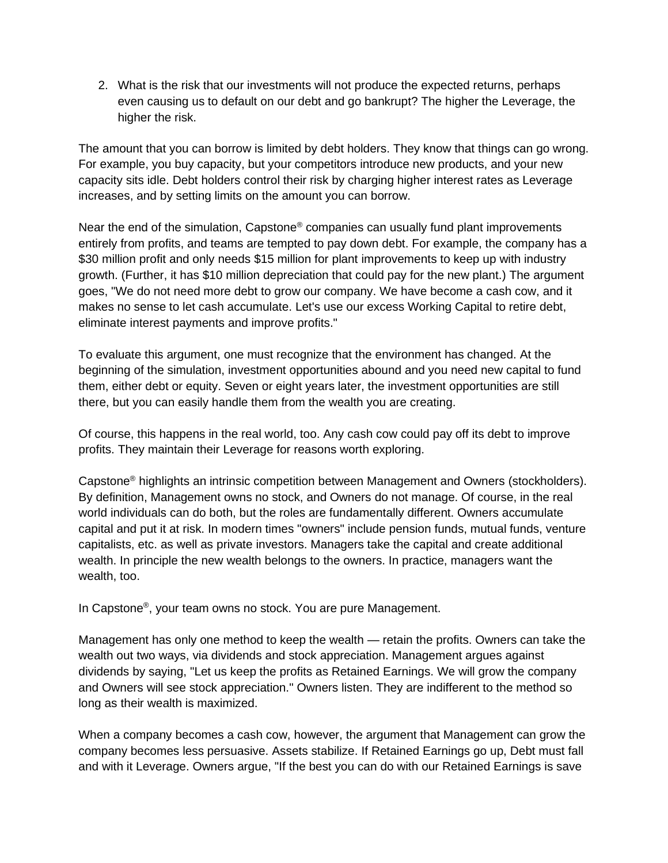2. What is the risk that our investments will not produce the expected returns, perhaps even causing us to default on our debt and go bankrupt? The higher the Leverage, the higher the risk.

The amount that you can borrow is limited by debt holders. They know that things can go wrong. For example, you buy capacity, but your competitors introduce new products, and your new capacity sits idle. Debt holders control their risk by charging higher interest rates as Leverage increases, and by setting limits on the amount you can borrow.

Near the end of the simulation, Capstone<sup>®</sup> companies can usually fund plant improvements entirely from profits, and teams are tempted to pay down debt. For example, the company has a \$30 million profit and only needs \$15 million for plant improvements to keep up with industry growth. (Further, it has \$10 million depreciation that could pay for the new plant.) The argument goes, "We do not need more debt to grow our company. We have become a cash cow, and it makes no sense to let cash accumulate. Let's use our excess Working Capital to retire debt, eliminate interest payments and improve profits."

To evaluate this argument, one must recognize that the environment has changed. At the beginning of the simulation, investment opportunities abound and you need new capital to fund them, either debt or equity. Seven or eight years later, the investment opportunities are still there, but you can easily handle them from the wealth you are creating.

Of course, this happens in the real world, too. Any cash cow could pay off its debt to improve profits. They maintain their Leverage for reasons worth exploring.

Capstone<sup>®</sup> highlights an intrinsic competition between Management and Owners (stockholders). By definition, Management owns no stock, and Owners do not manage. Of course, in the real world individuals can do both, but the roles are fundamentally different. Owners accumulate capital and put it at risk. In modern times "owners" include pension funds, mutual funds, venture capitalists, etc. as well as private investors. Managers take the capital and create additional wealth. In principle the new wealth belongs to the owners. In practice, managers want the wealth, too.

In Capstone® , your team owns no stock. You are pure Management.

Management has only one method to keep the wealth — retain the profits. Owners can take the wealth out two ways, via dividends and stock appreciation. Management argues against dividends by saying, "Let us keep the profits as Retained Earnings. We will grow the company and Owners will see stock appreciation." Owners listen. They are indifferent to the method so long as their wealth is maximized.

When a company becomes a cash cow, however, the argument that Management can grow the company becomes less persuasive. Assets stabilize. If Retained Earnings go up, Debt must fall and with it Leverage. Owners argue, "If the best you can do with our Retained Earnings is save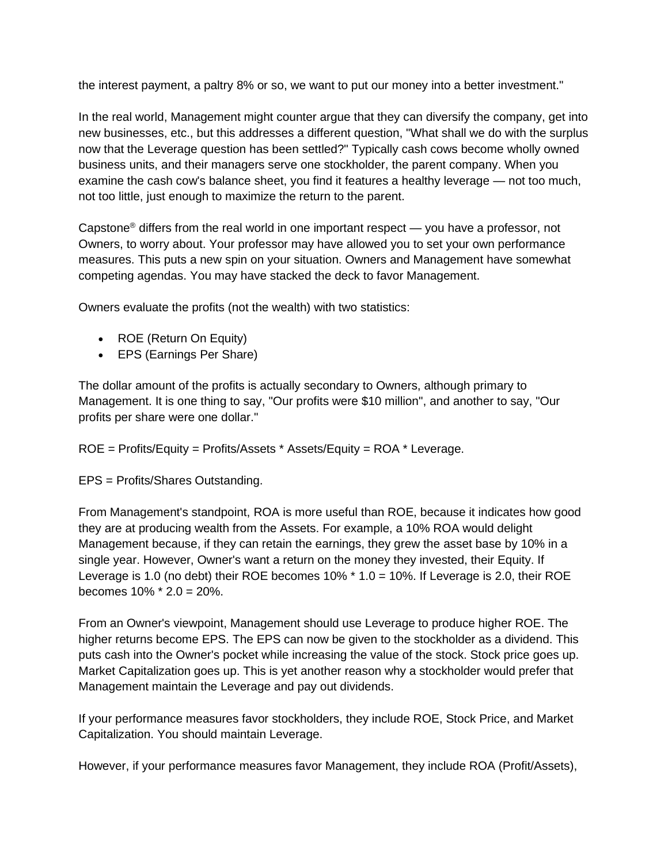the interest payment, a paltry 8% or so, we want to put our money into a better investment."

In the real world, Management might counter argue that they can diversify the company, get into new businesses, etc., but this addresses a different question, "What shall we do with the surplus now that the Leverage question has been settled?" Typically cash cows become wholly owned business units, and their managers serve one stockholder, the parent company. When you examine the cash cow's balance sheet, you find it features a healthy leverage — not too much, not too little, just enough to maximize the return to the parent.

Capstone<sup>®</sup> differs from the real world in one important respect — you have a professor, not Owners, to worry about. Your professor may have allowed you to set your own performance measures. This puts a new spin on your situation. Owners and Management have somewhat competing agendas. You may have stacked the deck to favor Management.

Owners evaluate the profits (not the wealth) with two statistics:

- ROE (Return On Equity)
- EPS (Earnings Per Share)

The dollar amount of the profits is actually secondary to Owners, although primary to Management. It is one thing to say, "Our profits were \$10 million", and another to say, "Our profits per share were one dollar."

ROE = Profits/Equity = Profits/Assets \* Assets/Equity = ROA \* Leverage.

EPS = Profits/Shares Outstanding.

From Management's standpoint, ROA is more useful than ROE, because it indicates how good they are at producing wealth from the Assets. For example, a 10% ROA would delight Management because, if they can retain the earnings, they grew the asset base by 10% in a single year. However, Owner's want a return on the money they invested, their Equity. If Leverage is 1.0 (no debt) their ROE becomes 10% \* 1.0 = 10%. If Leverage is 2.0, their ROE becomes 10% \* 2.0 = 20%.

From an Owner's viewpoint, Management should use Leverage to produce higher ROE. The higher returns become EPS. The EPS can now be given to the stockholder as a dividend. This puts cash into the Owner's pocket while increasing the value of the stock. Stock price goes up. Market Capitalization goes up. This is yet another reason why a stockholder would prefer that Management maintain the Leverage and pay out dividends.

If your performance measures favor stockholders, they include ROE, Stock Price, and Market Capitalization. You should maintain Leverage.

However, if your performance measures favor Management, they include ROA (Profit/Assets),